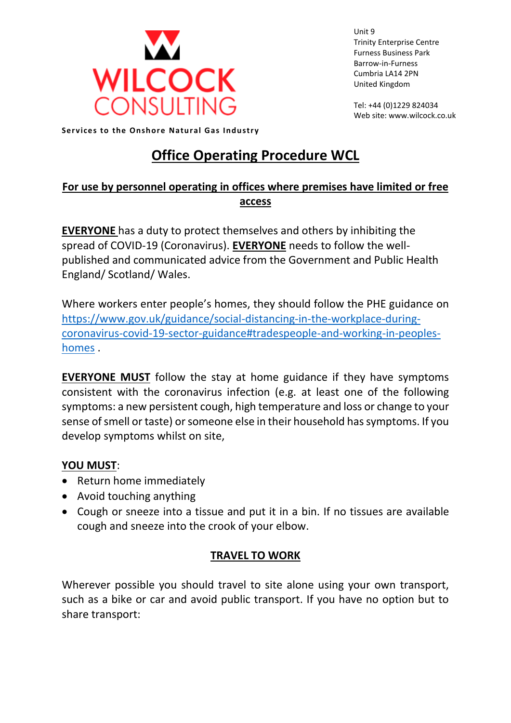

Unit 9 Trinity Enterprise Centre Furness Business Park Barrow-in-Furness Cumbria LA14 2PN United Kingdom

Tel: +44 (0)1229 824034 Web site: www.wilcock.co.uk

**Services to the Onshore Natural Gas Industry** 

# **Office Operating Procedure WCL**

# **For use by personnel operating in offices where premises have limited or free access**

**EVERYONE** has a duty to protect themselves and others by inhibiting the spread of COVID-19 (Coronavirus). **EVERYONE** needs to follow the wellpublished and communicated advice from the Government and Public Health England/ Scotland/ Wales.

Where workers enter people's homes, they should follow the PHE guidance on [https://www.gov.uk/guidance/social-distancing-in-the-workplace-during](https://www.gov.uk/guidance/social-distancing-in-the-workplace-during-coronavirus-covid-19-sector-guidance#tradespeople-and-working-in-peoples-homes)[coronavirus-covid-19-sector-guidance#tradespeople-and-working-in-peoples](https://www.gov.uk/guidance/social-distancing-in-the-workplace-during-coronavirus-covid-19-sector-guidance#tradespeople-and-working-in-peoples-homes)[homes](https://www.gov.uk/guidance/social-distancing-in-the-workplace-during-coronavirus-covid-19-sector-guidance#tradespeople-and-working-in-peoples-homes).

**EVERYONE MUST** follow the stay at home guidance if they have symptoms consistent with the coronavirus infection (e.g. at least one of the following symptoms: a new persistent cough, high temperature and loss or change to your sense of smell or taste) or someone else in their household has symptoms. If you develop symptoms whilst on site,

## **YOU MUST**:

- Return home immediately
- Avoid touching anything
- Cough or sneeze into a tissue and put it in a bin. If no tissues are available cough and sneeze into the crook of your elbow.

## **TRAVEL TO WORK**

Wherever possible you should travel to site alone using your own transport, such as a bike or car and avoid public transport. If you have no option but to share transport: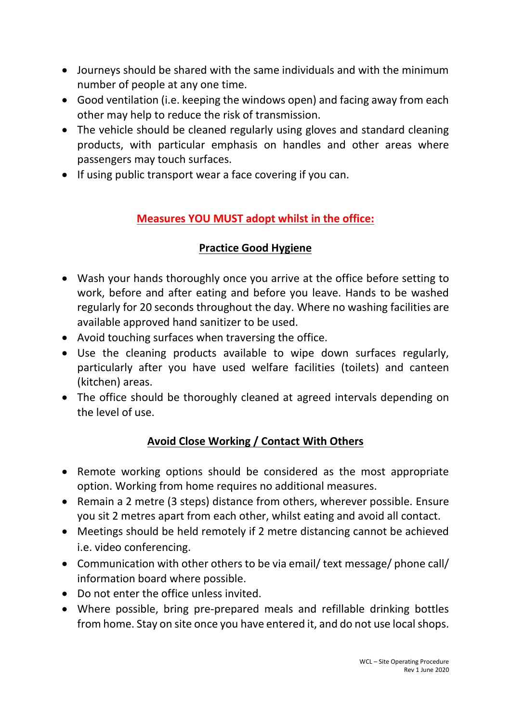- Journeys should be shared with the same individuals and with the minimum number of people at any one time.
- Good ventilation (i.e. keeping the windows open) and facing away from each other may help to reduce the risk of transmission.
- The vehicle should be cleaned regularly using gloves and standard cleaning products, with particular emphasis on handles and other areas where passengers may touch surfaces.
- If using public transport wear a face covering if you can.

# **Measures YOU MUST adopt whilst in the office:**

## **Practice Good Hygiene**

- Wash your hands thoroughly once you arrive at the office before setting to work, before and after eating and before you leave. Hands to be washed regularly for 20 seconds throughout the day. Where no washing facilities are available approved hand sanitizer to be used.
- Avoid touching surfaces when traversing the office.
- Use the cleaning products available to wipe down surfaces regularly, particularly after you have used welfare facilities (toilets) and canteen (kitchen) areas.
- The office should be thoroughly cleaned at agreed intervals depending on the level of use.

## **Avoid Close Working / Contact With Others**

- Remote working options should be considered as the most appropriate option. Working from home requires no additional measures.
- Remain a 2 metre (3 steps) distance from others, wherever possible. Ensure you sit 2 metres apart from each other, whilst eating and avoid all contact.
- Meetings should be held remotely if 2 metre distancing cannot be achieved i.e. video conferencing.
- Communication with other others to be via email/ text message/ phone call/ information board where possible.
- Do not enter the office unless invited.
- Where possible, bring pre-prepared meals and refillable drinking bottles from home. Stay on site once you have entered it, and do not use local shops.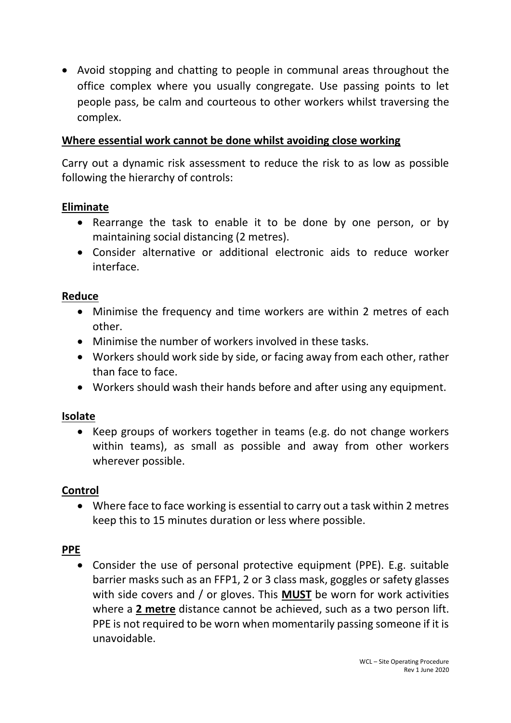• Avoid stopping and chatting to people in communal areas throughout the office complex where you usually congregate. Use passing points to let people pass, be calm and courteous to other workers whilst traversing the complex.

#### **Where essential work cannot be done whilst avoiding close working**

Carry out a dynamic risk assessment to reduce the risk to as low as possible following the hierarchy of controls:

#### **Eliminate**

- Rearrange the task to enable it to be done by one person, or by maintaining social distancing (2 metres).
- Consider alternative or additional electronic aids to reduce worker interface.

#### **Reduce**

- Minimise the frequency and time workers are within 2 metres of each other.
- Minimise the number of workers involved in these tasks.
- Workers should work side by side, or facing away from each other, rather than face to face.
- Workers should wash their hands before and after using any equipment.

## **Isolate**

• Keep groups of workers together in teams (e.g. do not change workers within teams), as small as possible and away from other workers wherever possible.

## **Control**

• Where face to face working is essential to carry out a task within 2 metres keep this to 15 minutes duration or less where possible.

## **PPE**

• Consider the use of personal protective equipment (PPE). E.g. suitable barrier masks such as an FFP1, 2 or 3 class mask, goggles or safety glasses with side covers and / or gloves. This **MUST** be worn for work activities where a **2 metre** distance cannot be achieved, such as a two person lift. PPE is not required to be worn when momentarily passing someone if it is unavoidable.